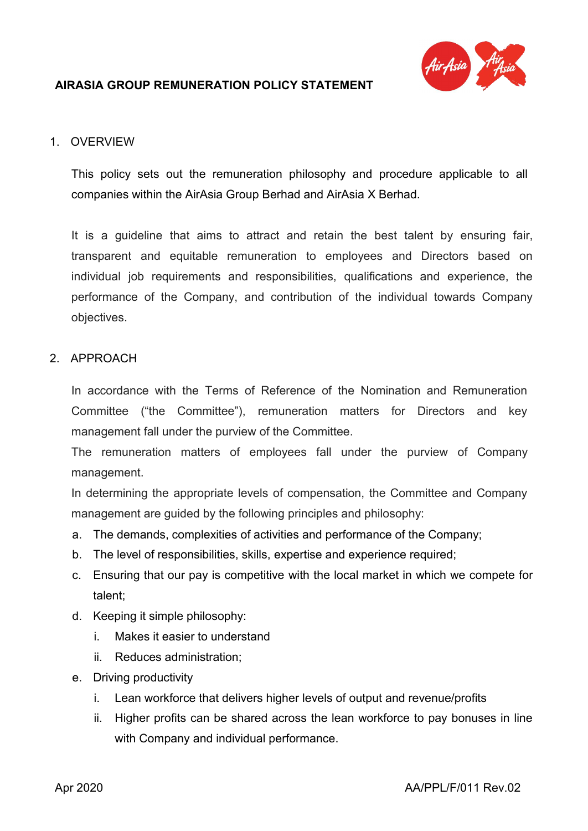

## 1. OVERVIEW

This policy sets out the remuneration philosophy and procedure applicable to all companies within the AirAsia Group Berhad and AirAsia X Berhad.

It is a guideline that aims to attract and retain the best talent by ensuring fair, transparent and equitable remuneration to employees and Directors based on individual job requirements and responsibilities, qualifications and experience, the performance of the Company, and contribution of the individual towards Company objectives.

### 2. APPROACH

In accordance with the Terms of Reference of the Nomination and Remuneration Committee ("the Committee"), remuneration matters for Directors and key management fall under the purview of the Committee.

The remuneration matters of employees fall under the purview of Company management.

In determining the appropriate levels of compensation, the Committee and Company management are guided by the following principles and philosophy:

- a. The demands, complexities of activities and performance of the Company;
- b. The level of responsibilities, skills, expertise and experience required;
- c. Ensuring that our pay is competitive with the local market in which we compete for talent;
- d. Keeping it simple philosophy:
	- i. Makes it easier to understand
	- ii. Reduces administration;
- e. Driving productivity
	- i. Lean workforce that delivers higher levels of output and revenue/profits
	- ii. Higher profits can be shared across the lean workforce to pay bonuses in line with Company and individual performance.